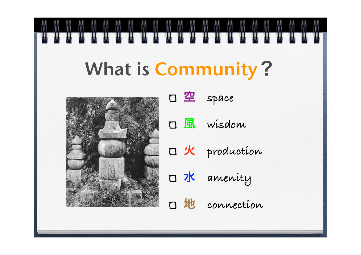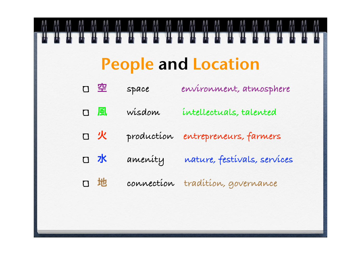# People and Location

空 **space environment, atmosphere** 風 **wisdom intellectuals, talented** 火 **production entrepreneurs, farmers** 水 **amenity nature, festivals, services** 地 **connection tradition, governance**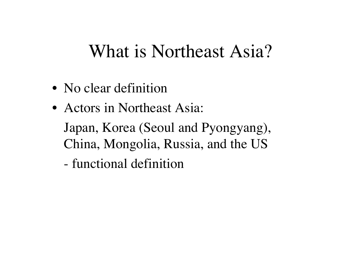## What is Northeast Asia?

- No clear definition
- Actors in Northeast Asia:
	- Japan, Korea (Seoul and Pyongyang), China, Mongolia, Russia, and the US
	- functional definition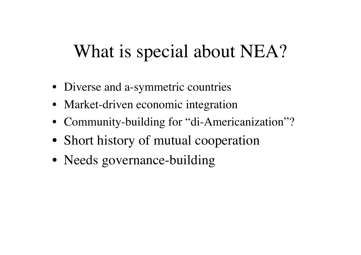# What is special about NEA?

- Diverse and a-symmetric countries
- Market-driven economic integration
- Community-building for "di-Americanization"?
- Short history of mutual cooperation
- Needs governance-building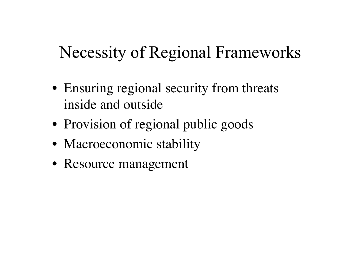#### Necessity of Regional Frameworks

- Ensuring regional security from threats inside and outside
- Provision of regional public goods
- Macroeconomic stability
- Resource management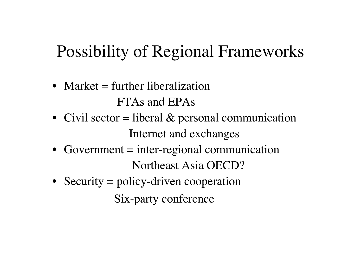# Possibility of Regional Frameworks

- Market  $=$  further liberalization FTAs and EPAs
- Civil sector  $=$  liberal & personal communication Internet and exchanges
- Government = inter-regional communication Northeast Asia OECD?
- Security = policy-driven cooperation Six-party conference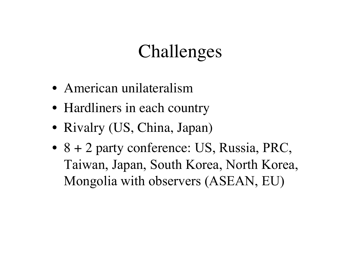# Challenges

- American unilateralism
- Hardliners in each country
- Rivalry (US, China, Japan)
- 8 + 2 party conference: US, Russia, PRC, Taiwan, Japan, South Korea, North Korea, Mongolia with observers (ASEAN, EU)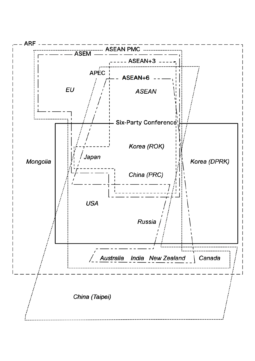